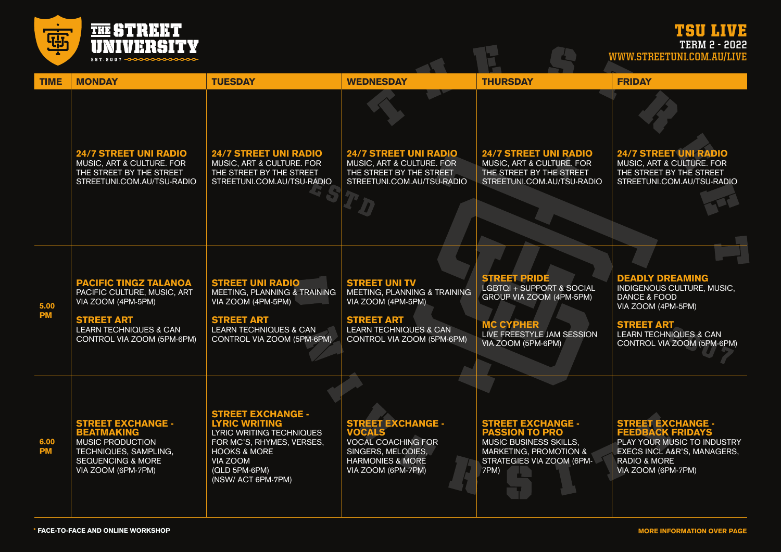TSU LIVE

画 **THE STREET<br>UNIVERSITY** EST.2007 -0000000

**TERM 2 - 2022**

**WWW.STREETUNI.COM.AU/LIVE**

| <b>TIME</b>       | <b>MONDAY</b>                                                                                                                                                             | <b>TUESDAY</b>                                                                                                                                                                          | <b>WEDNESDAY</b>                                                                                                                                                   | <b>THURSDAY</b>                                                                                                                                      | <b>FRIDAY</b>                                                                                                                                                                                 |
|-------------------|---------------------------------------------------------------------------------------------------------------------------------------------------------------------------|-----------------------------------------------------------------------------------------------------------------------------------------------------------------------------------------|--------------------------------------------------------------------------------------------------------------------------------------------------------------------|------------------------------------------------------------------------------------------------------------------------------------------------------|-----------------------------------------------------------------------------------------------------------------------------------------------------------------------------------------------|
|                   | <b>24/7 STREET UNI RADIO</b><br>MUSIC, ART & CULTURE. FOR<br>THE STREET BY THE STREET<br>STREETUNI.COM.AU/TSU-RADIO                                                       | <b>24/7 STREET UNI RADIO</b><br>MUSIC, ART & CULTURE. FOR<br>THE STREET BY THE STREET<br>STREETUNI.COM.AU/TSU-RADIO                                                                     | <b>24/7 STREET UNI RADIO</b><br>MUSIC, ART & CULTURE. FOR<br>THE STREET BY THE STREET<br>STREETUNI.COM.AU/TSU-RADIO                                                | <b>24/7 STREET UNI RADIO</b><br>MUSIC, ART & CULTURE. FOR<br>THE STREET BY THE STREET<br>STREETUNI.COM.AU/TSU-RADIO                                  | <b>24/7 STREET UNI RADIO</b><br>MUSIC, ART & CULTURE. FOR<br>THE STREET BY THE STREET<br>STREETUNI.COM.AU/TSU-RADIO                                                                           |
| 5.00<br><b>PM</b> | <b>PACIFIC TINGZ TALANOA</b><br>PACIFIC CULTURE, MUSIC, ART<br>VIA ZOOM (4PM-5PM)<br><b>STREET ART</b><br><b>LEARN TECHNIQUES &amp; CAN</b><br>CONTROL VIA ZOOM (5PM-6PM) | <b>STREET UNI RADIO</b><br>MEETING, PLANNING & TRAINING<br>VIA ZOOM (4PM-5PM)<br><b>STREET ART</b><br><b>LEARN TECHNIQUES &amp; CAN</b><br>CONTROL VIA ZOOM (5PM-6PM)                   | <b>STREET UNI TV</b><br>MEETING, PLANNING & TRAINING<br>VIA ZOOM (4PM-5PM)<br><b>STREET ART</b><br><b>LEARN TECHNIQUES &amp; CAN</b><br>CONTROL VIA ZOOM (5PM-6PM) | <b>STREET PRIDE</b><br>LGBTQI + SUPPORT & SOCIAL<br>GROUP VIA ZOOM (4PM-5PM)<br><b>MC CYPHER</b><br>LIVE FREESTYLE JAM SESSION<br>VIA ZOOM (5PM-6PM) | <b>DEADLY DREAMING</b><br>INDIGENOUS CULTURE, MUSIC,<br><b>DANCE &amp; FOOD</b><br>VIA ZOOM (4PM-5PM)<br><b>STREET ART</b><br><b>LEARN TECHNIQUES &amp; CAN</b><br>CONTROL VIA ZOOM (5PM-6PM) |
| 6.00<br><b>PM</b> | <b>STREET EXCHANGE -</b><br><b>BEATMAKING</b><br>MUSIC PRODUCTION<br>TECHNIQUES, SAMPLING,<br><b>SEQUENCING &amp; MORE</b><br>VIA ZOOM (6PM-7PM)                          | <b>STREET EXCHANGE -</b><br><b>LYRIC WRITING</b><br>LYRIC WRITING TECHNIQUES<br>FOR MC'S, RHYMES, VERSES,<br><b>HOOKS &amp; MORE</b><br>VIA ZOOM<br>(QLD 5PM-6PM)<br>(NSW/ ACT 6PM-7PM) | <b>STREET EXCHANGE -</b><br><b>VOCALS</b><br><b>VOCAL COACHING FOR</b><br>SINGERS, MELODIES,<br><b>HARMONIES &amp; MORE</b><br>VIA ZOOM (6PM-7PM)                  | <b>STREET EXCHANGE -</b><br><b>PASSION TO PRO</b><br><b>MUSIC BUSINESS SKILLS,</b><br>MARKETING, PROMOTION &<br>STRATEGIES VIA ZOOM (6PM-<br>7PM)    | <b>STREET EXCHANGE -</b><br><b>FEEDBACK FRIDAYS</b><br>PLAY YOUR MUSIC TO INDUSTRY<br>EXECS INCL A&R'S, MANAGERS,<br><b>RADIO &amp; MORE</b><br>VIA ZOOM (6PM-7PM)                            |

 $\mathbf{L}$